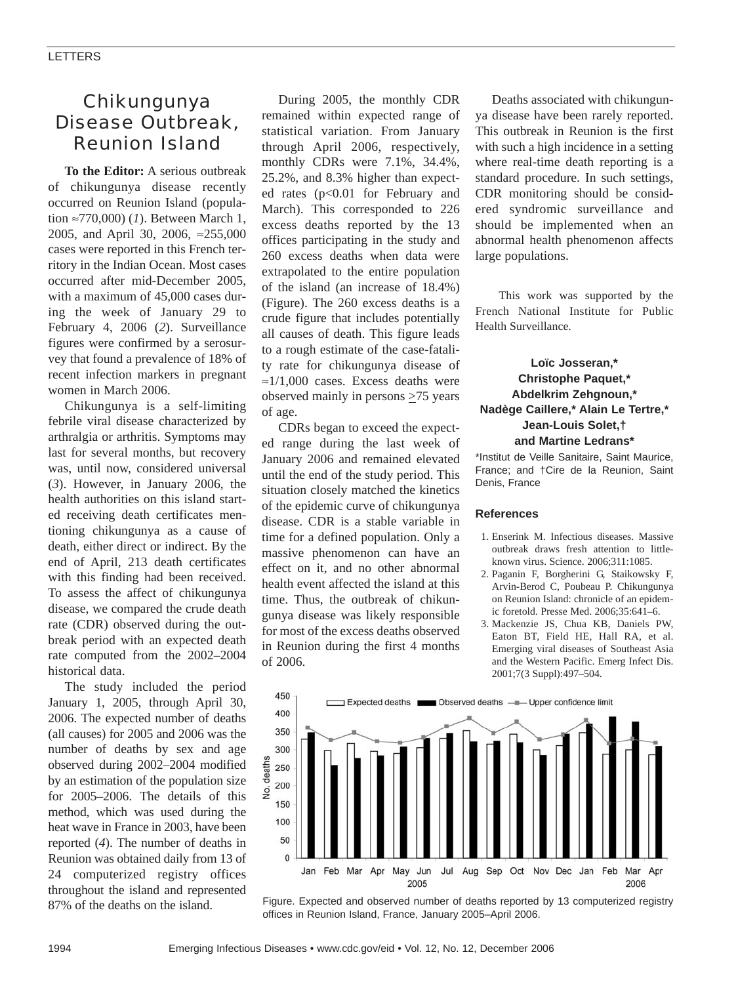## Chikungunya Disease Outbreak, Reunion Island

**To the Editor:** A serious outbreak of chikungunya disease recently occurred on Reunion Island (population ≈770,000) (*1*). Between March 1, 2005, and April 30, 2006, ≈255,000 cases were reported in this French territory in the Indian Ocean. Most cases occurred after mid-December 2005, with a maximum of 45,000 cases during the week of January 29 to February 4, 2006 (*2*). Surveillance figures were confirmed by a serosurvey that found a prevalence of 18% of recent infection markers in pregnant women in March 2006.

Chikungunya is a self-limiting febrile viral disease characterized by arthralgia or arthritis. Symptoms may last for several months, but recovery was, until now, considered universal (*3*). However, in January 2006, the health authorities on this island started receiving death certificates mentioning chikungunya as a cause of death, either direct or indirect. By the end of April, 213 death certificates with this finding had been received. To assess the affect of chikungunya disease, we compared the crude death rate (CDR) observed during the outbreak period with an expected death rate computed from the 2002–2004 historical data.

The study included the period January 1, 2005, through April 30, 2006. The expected number of deaths (all causes) for 2005 and 2006 was the number of deaths by sex and age observed during 2002–2004 modified by an estimation of the population size for 2005–2006. The details of this method, which was used during the heat wave in France in 2003, have been reported (*4*). The number of deaths in Reunion was obtained daily from 13 of 24 computerized registry offices throughout the island and represented 87% of the deaths on the island.

During 2005, the monthly CDR remained within expected range of statistical variation. From January through April 2006, respectively, monthly CDRs were 7.1%, 34.4%, 25.2%, and 8.3% higher than expected rates (p<0.01 for February and March). This corresponded to 226 excess deaths reported by the 13 offices participating in the study and 260 excess deaths when data were extrapolated to the entire population of the island (an increase of 18.4%) (Figure). The 260 excess deaths is a crude figure that includes potentially all causes of death. This figure leads to a rough estimate of the case-fatality rate for chikungunya disease of ≈1/1,000 cases. Excess deaths were observed mainly in persons  $\geq$ 75 years of age.

CDRs began to exceed the expected range during the last week of January 2006 and remained elevated until the end of the study period. This situation closely matched the kinetics of the epidemic curve of chikungunya disease. CDR is a stable variable in time for a defined population. Only a massive phenomenon can have an effect on it, and no other abnormal health event affected the island at this time. Thus, the outbreak of chikungunya disease was likely responsible for most of the excess deaths observed in Reunion during the first 4 months of 2006.

Deaths associated with chikungunya disease have been rarely reported. This outbreak in Reunion is the first with such a high incidence in a setting where real-time death reporting is a standard procedure. In such settings, CDR monitoring should be considered syndromic surveillance and should be implemented when an abnormal health phenomenon affects large populations.

This work was supported by the French National Institute for Public Health Surveillance.

## **Loïc Josseran,\* Christophe Paquet,\* Abdelkrim Zehgnoun,\* Nadège Caillere,\* Alain Le Tertre,\* Jean-Louis Solet,† and Martine Ledrans\***

\*Institut de Veille Sanitaire, Saint Maurice, France; and †Cire de la Reunion, Saint Denis, France

## **References**

- 1. Enserink M. Infectious diseases. Massive outbreak draws fresh attention to littleknown virus. Science. 2006;311:1085.
- 2. Paganin F, Borgherini G, Staikowsky F, Arvin-Berod C, Poubeau P. Chikungunya on Reunion Island: chronicle of an epidemic foretold. Presse Med. 2006;35:641–6.
- 3. Mackenzie JS, Chua KB, Daniels PW, Eaton BT, Field HE, Hall RA, et al. Emerging viral diseases of Southeast Asia and the Western Pacific. Emerg Infect Dis. 2001;7(3 Suppl):497–504.



Figure. Expected and observed number of deaths reported by 13 computerized registry offices in Reunion Island, France, January 2005–April 2006.